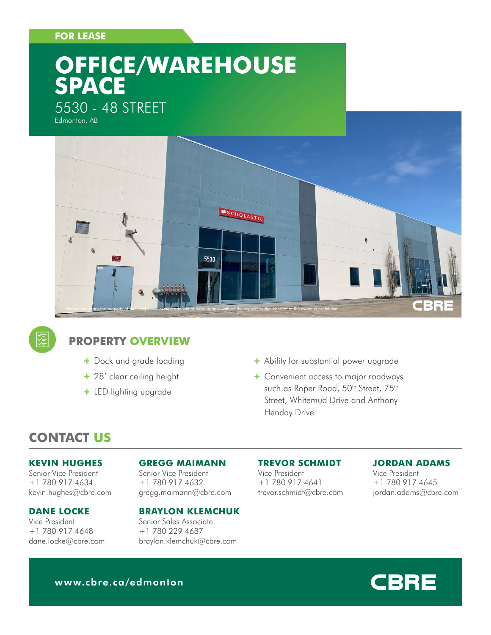### **FOR LEASE**

# **OFFICE/WAREHOUSE SPACE**

# 5530 - 48 STREET

Edmonton, AB





## **PROPERTY OVERVIEW**

- + Dock and grade loading
- + 28' clear ceiling height
- + LED lighting upgrade
- + Ability for substantial power upgrade
- + Convenient access to major roadways such as Roper Road, 50<sup>th</sup> Street, 75<sup>th</sup> Street, Whitemud Drive and Anthony Henday Drive

# **CONTACT US**

#### **KEVIN HUGHES**

Senior Vice President +1 780 917 4634 kevin.hughes@cbre.com

#### **DANE LOCKE**

Vice President +1 780 917 4648 dane.locke@cbre.com

#### **GREGG MAIMANN**

Senior Vice President +1 780 917 4632 gregg.maimann@cbre.com

#### **BRAYLON KLEMCHUK**

Senior Sales Associate +1 780 229 4687 braylon.klemchuk@cbre.com

#### **TREVOR SCHMIDT**

Vice President +1 780 917 4641 trevor.schmidt@cbre.com

#### **JORDAN ADAMS**

Vice President +1 780 917 4645 jordan.adams@cbre.com



www.cbre.ca/edmonton